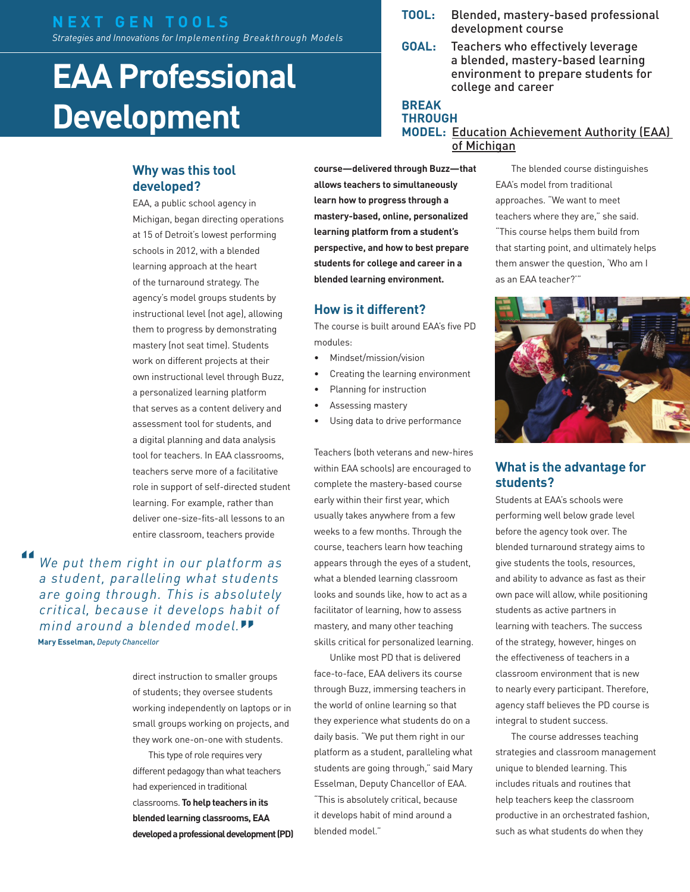## **N E X T G E N T O O L S**  *Strategies and Innovations for Implementing Breakthrough Models*

# **EAA Professional Development**

## **Why was this tool developed?**

EAA, a public school agency in Michigan, began directing operations at 15 of Detroit's lowest performing schools in 2012, with a blended learning approach at the heart of the turnaround strategy. The agency's model groups students by instructional level (not age), allowing them to progress by demonstrating mastery (not seat time). Students work on different projects at their own instructional level through Buzz, a personalized learning platform that serves as a content delivery and assessment tool for students, and a digital planning and data analysis tool for teachers. In EAA classrooms, teachers serve more of a facilitative role in support of self-directed student learning. For example, rather than deliver one-size-fits-all lessons to an entire classroom, teachers provide

*We put them right in our platform as a student, paralleling what students are going through. This is absolutely critical, because it develops habit of mind around a blended model.* **" Mary Esselman,** *Deputy Chancellor* **"**

> direct instruction to smaller groups of students; they oversee students working independently on laptops or in small groups working on projects, and they work one-on-one with students.

This type of role requires very different pedagogy than what teachers had experienced in traditional classrooms. **To help teachers in its blended learning classrooms, EAA developed a professional development (PD)** 

- **TOOL:** Blended, mastery-based professional development course
- **GOAL:** Teachers who effectively leverage a blended, mastery-based learning environment to prepare students for college and career

## **BREAK THROUGH MODEL:** [Education Achievement Authority \(EAA\)](http://nextgenlearning.org/grantee/education-achievement-authority-michigan-nolan-k-8)  [of Michigan](http://nextgenlearning.org/grantee/education-achievement-authority-michigan-nolan-k-8)

**course—delivered through Buzz—that allows teachers to simultaneously learn how to progress through a mastery-based, online, personalized learning platform from a student's perspective, and how to best prepare students for college and career in a blended learning environment.**

## **How is it different?**

The course is built around EAA's five PD modules:

- Mindset/mission/vision
- Creating the learning environment
- Planning for instruction
- Assessing mastery
- Using data to drive performance

Teachers (both veterans and new-hires within EAA schools) are encouraged to complete the mastery-based course early within their first year, which usually takes anywhere from a few weeks to a few months. Through the course, teachers learn how teaching appears through the eyes of a student, what a blended learning classroom looks and sounds like, how to act as a facilitator of learning, how to assess mastery, and many other teaching skills critical for personalized learning.

Unlike most PD that is delivered face-to-face, EAA delivers its course through Buzz, immersing teachers in the world of online learning so that they experience what students do on a daily basis. "We put them right in our platform as a student, paralleling what students are going through," said Mary Esselman, Deputy Chancellor of EAA. "This is absolutely critical, because it develops habit of mind around a blended model."

The blended course distinguishes EAA's model from traditional approaches. "We want to meet teachers where they are," she said. "This course helps them build from that starting point, and ultimately helps them answer the question, 'Who am I as an EAA teacher?'"



## **What is the advantage for students?**

Students at EAA's schools were performing well below grade level before the agency took over. The blended turnaround strategy aims to give students the tools, resources, and ability to advance as fast as their own pace will allow, while positioning students as active partners in learning with teachers. The success of the strategy, however, hinges on the effectiveness of teachers in a classroom environment that is new to nearly every participant. Therefore, agency staff believes the PD course is integral to student success.

The course addresses teaching strategies and classroom management unique to blended learning. This includes rituals and routines that help teachers keep the classroom productive in an orchestrated fashion, such as what students do when they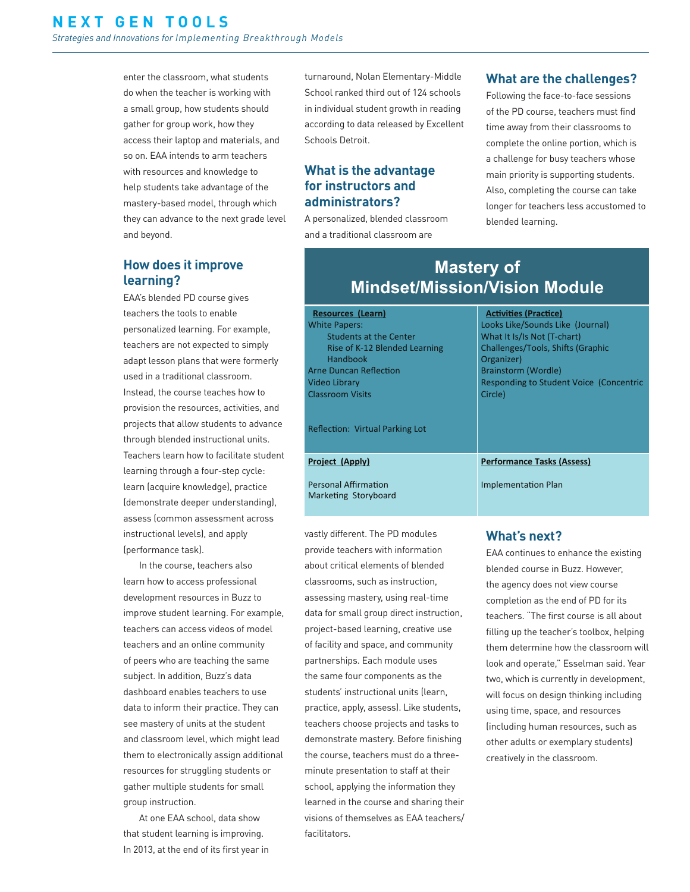enter the classroom, what students do when the teacher is working with a small group, how students should gather for group work, how they access their laptop and materials, and so on. EAA intends to arm teachers with resources and knowledge to help students take advantage of the mastery-based model, through which they can advance to the next grade level and beyond.

## **How does it improve learning?**

EAA's blended PD course gives teachers the tools to enable personalized learning. For example, teachers are not expected to simply adapt lesson plans that were formerly used in a traditional classroom. Instead, the course teaches how to provision the resources, activities, and projects that allow students to advance through blended instructional units. Teachers learn how to facilitate student learning through a four-step cycle: learn (acquire knowledge), practice (demonstrate deeper understanding), assess (common assessment across instructional levels), and apply (performance task).

In the course, teachers also learn how to access professional development resources in Buzz to improve student learning. For example, teachers can access videos of model teachers and an online community of peers who are teaching the same subject. In addition, Buzz's data dashboard enables teachers to use data to inform their practice. They can see mastery of units at the student and classroom level, which might lead them to electronically assign additional resources for struggling students or gather multiple students for small group instruction.

At one EAA school, data show that student learning is improving. In 2013, at the end of its first year in

turnaround, Nolan Elementary-Middle School ranked third out of 124 schools in individual student growth in reading according to data released by Excellent Schools Detroit.

## **What is the advantage for instructors and administrators?**

A personalized, blended classroom and a traditional classroom are

## **What are the challenges?**

Following the face-to-face sessions of the PD course, teachers must find time away from their classrooms to complete the online portion, which is a challenge for busy teachers whose main priority is supporting students. Also, completing the course can take longer for teachers less accustomed to blended learning.

### **Mastery of Mindset/Mission/Vision Module Resources (Learn)** White Papers: Students at the Center Rise of K-12 Blended Learning Handbook 
 Arne Duncan Reflection Video 
Library 
 Classroom 
Visits 
 Reflection: Virtual Parking Lot **Activities (Practice)** Looks Like/Sounds Like (Journal) What It Is/Is Not (T-chart) Challenges/Tools, Shifts (Graphic Organizer) 
 Brainstorm (Wordle) Responding to Student Voice (Concentric Circle) 
 **Project (Apply)** Personal Affirmation Marketing Storyboard **Performance Tasks (Assess) Implementation Plan**

vastly different. The PD modules provide teachers with information about critical elements of blended classrooms, such as instruction, assessing mastery, using real-time data for small group direct instruction, project-based learning, creative use of facility and space, and community partnerships. Each module uses the same four components as the students' instructional units (learn, practice, apply, assess). Like students, teachers choose projects and tasks to demonstrate mastery. Before finishing the course, teachers must do a threeminute presentation to staff at their school, applying the information they learned in the course and sharing their visions of themselves as EAA teachers/ facilitators.

## **What's next?**

EAA continues to enhance the existing blended course in Buzz. However, the agency does not view course completion as the end of PD for its teachers. "The first course is all about filling up the teacher's toolbox, helping them determine how the classroom will look and operate," Esselman said. Year two, which is currently in development, will focus on design thinking including using time, space, and resources (including human resources, such as other adults or exemplary students) creatively in the classroom.